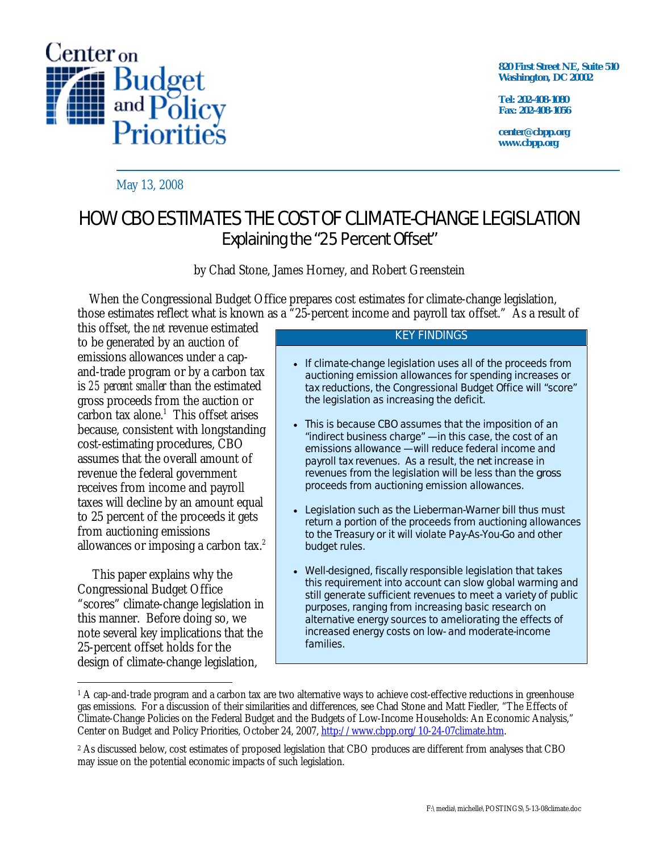

**820 First Street NE, Suite 510 Washington, DC 20002** 

**Tel: 202-408-1080 Fax: 202-408-1056** 

**center@cbpp.org www.cbpp.org** 

May 13, 2008

# HOW CBO ESTIMATES THE COST OF CLIMATE-CHANGE LEGISLATION Explaining the "25 Percent Offset"

by Chad Stone, James Horney, and Robert Greenstein

 When the Congressional Budget Office prepares cost estimates for climate-change legislation, those estimates reflect what is known as a "25-percent income and payroll tax offset." As a result of

this offset, the *net* revenue estimated to be generated by an auction of emissions allowances under a capand-trade program or by a carbon tax is *25 percent smaller* than the estimated gross proceeds from the auction or  $carbon tax alone.<sup>1</sup> This offset arises$ because, consistent with longstanding cost-estimating procedures, CBO assumes that the overall amount of revenue the federal government receives from income and payroll taxes will decline by an amount equal to 25 percent of the proceeds it gets from auctioning emissions allowances or imposing a carbon tax. $2$ 

 This paper explains why the Congressional Budget Office "scores" climate-change legislation in this manner. Before doing so, we note several key implications that the 25-percent offset holds for the design of climate-change legislation,

#### KEY FINDINGS

- If climate-change legislation uses all of the proceeds from auctioning emission allowances for spending increases or tax reductions, the Congressional Budget Office will "score" the legislation as increasing the deficit.
- This is because CBO assumes that the imposition of an "indirect business charge" — in this case, the cost of an emissions allowance — will reduce federal income and payroll tax revenues. As a result, the *net* increase in revenues from the legislation will be less than the *gross* proceeds from auctioning emission allowances.
- Legislation such as the Lieberman-Warner bill thus must return a portion of the proceeds from auctioning allowances to the Treasury or it will violate Pay-As-You-Go and other budget rules.
- Well-designed, fiscally responsible legislation that takes this requirement into account can slow global warming and still generate sufficient revenues to meet a variety of public purposes, ranging from increasing basic research on alternative energy sources to ameliorating the effects of increased energy costs on low- and moderate-income families.

 $\overline{a}$ <sup>1</sup> A cap-and-trade program and a carbon tax are two alternative ways to achieve cost-effective reductions in greenhouse gas emissions. For a discussion of their similarities and differences, see Chad Stone and Matt Fiedler, "The Effects of Climate-Change Policies on the Federal Budget and the Budgets of Low-Income Households: An Economic Analysis," Center on Budget and Policy Priorities, October 24, 2007, http://www.cbpp.org/10-24-07climate.htm.

<sup>2</sup> As discussed below, cost estimates of proposed legislation that CBO produces are different from analyses that CBO may issue on the potential economic impacts of such legislation.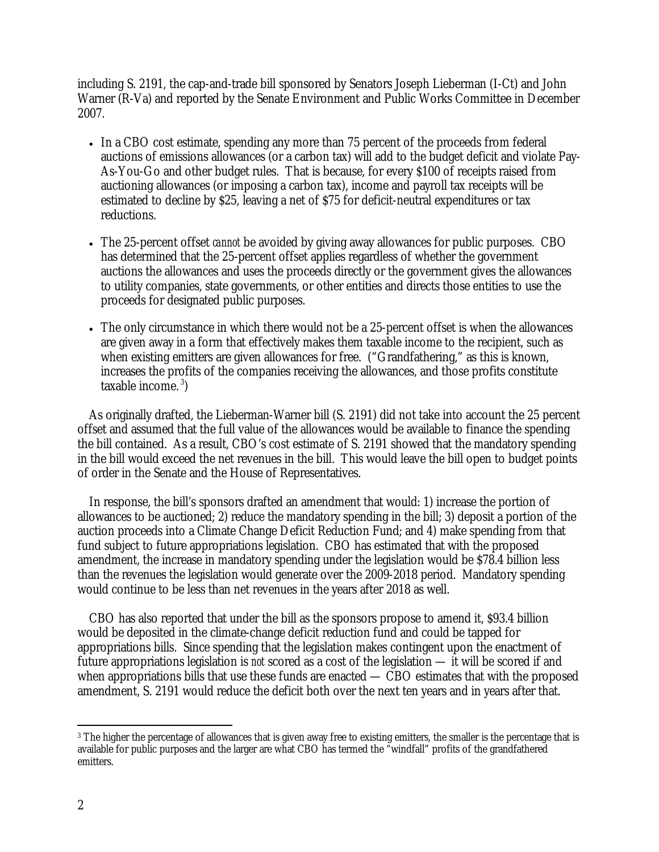including S. 2191, the cap-and-trade bill sponsored by Senators Joseph Lieberman (I-Ct) and John Warner (R-Va) and reported by the Senate Environment and Public Works Committee in December 2007.

- In a CBO cost estimate, spending any more than 75 percent of the proceeds from federal auctions of emissions allowances (or a carbon tax) will add to the budget deficit and violate Pay-As-You-Go and other budget rules. That is because, for every \$100 of receipts raised from auctioning allowances (or imposing a carbon tax), income and payroll tax receipts will be estimated to decline by \$25, leaving a net of \$75 for deficit-neutral expenditures or tax reductions.
- The 25-percent offset *cannot* be avoided by giving away allowances for public purposes. CBO has determined that the 25-percent offset applies regardless of whether the government auctions the allowances and uses the proceeds directly or the government gives the allowances to utility companies, state governments, or other entities and directs those entities to use the proceeds for designated public purposes.
- The only circumstance in which there would not be a 25-percent offset is when the allowances are given away in a form that effectively makes them taxable income to the recipient, such as when existing emitters are given allowances for free. ("Grandfathering," as this is known, increases the profits of the companies receiving the allowances, and those profits constitute taxable income. 3)

 As originally drafted, the Lieberman-Warner bill (S. 2191) did not take into account the 25 percent offset and assumed that the full value of the allowances would be available to finance the spending the bill contained. As a result, CBO's cost estimate of S. 2191 showed that the mandatory spending in the bill would exceed the net revenues in the bill. This would leave the bill open to budget points of order in the Senate and the House of Representatives.

 In response, the bill's sponsors drafted an amendment that would: 1) increase the portion of allowances to be auctioned; 2) reduce the mandatory spending in the bill; 3) deposit a portion of the auction proceeds into a Climate Change Deficit Reduction Fund; and 4) make spending from that fund subject to future appropriations legislation. CBO has estimated that with the proposed amendment, the increase in mandatory spending under the legislation would be \$78.4 billion less than the revenues the legislation would generate over the 2009-2018 period. Mandatory spending would continue to be less than net revenues in the years after 2018 as well.

 CBO has also reported that under the bill as the sponsors propose to amend it, \$93.4 billion would be deposited in the climate-change deficit reduction fund and could be tapped for appropriations bills. Since spending that the legislation makes contingent upon the enactment of future appropriations legislation is *not* scored as a cost of the legislation — it will be scored if and when appropriations bills that use these funds are enacted — CBO estimates that with the proposed amendment, S. 2191 would reduce the deficit both over the next ten years and in years after that.

 $\overline{a}$ <sup>3</sup> The higher the percentage of allowances that is given away free to existing emitters, the smaller is the percentage that is available for public purposes and the larger are what CBO has termed the "windfall" profits of the grandfathered emitters.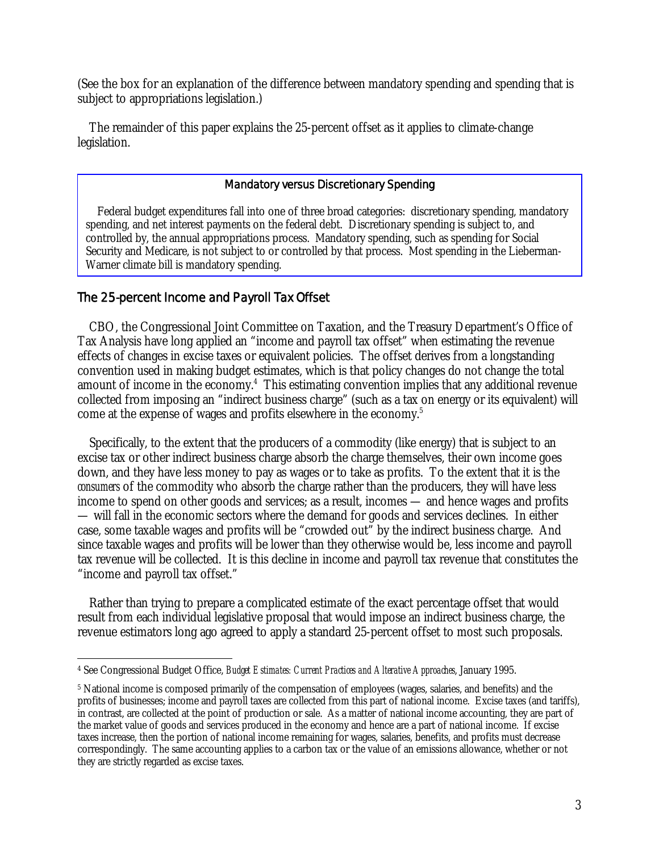(See the box for an explanation of the difference between mandatory spending and spending that is subject to appropriations legislation.)

 The remainder of this paper explains the 25-percent offset as it applies to climate-change legislation.

#### Mandatory versus Discretionary Spending

 Federal budget expenditures fall into one of three broad categories: discretionary spending, mandatory spending, and net interest payments on the federal debt. Discretionary spending is subject to, and controlled by, the annual appropriations process. Mandatory spending, such as spending for Social Security and Medicare, is not subject to or controlled by that process. Most spending in the Lieberman-Warner climate bill is mandatory spending.

## The 25-percent Income and Payroll Tax Offset

 CBO, the Congressional Joint Committee on Taxation, and the Treasury Department's Office of Tax Analysis have long applied an "income and payroll tax offset" when estimating the revenue effects of changes in excise taxes or equivalent policies. The offset derives from a longstanding convention used in making budget estimates, which is that policy changes do not change the total amount of income in the economy.<sup>4</sup> This estimating convention implies that any additional revenue collected from imposing an "indirect business charge" (such as a tax on energy or its equivalent) will come at the expense of wages and profits elsewhere in the economy.<sup>5</sup>

 Specifically, to the extent that the producers of a commodity (like energy) that is subject to an excise tax or other indirect business charge absorb the charge themselves, their own income goes down, and they have less money to pay as wages or to take as profits. To the extent that it is the *consumers* of the commodity who absorb the charge rather than the producers, they will have less income to spend on other goods and services; as a result, incomes — and hence wages and profits — will fall in the economic sectors where the demand for goods and services declines. In either case, some taxable wages and profits will be "crowded out" by the indirect business charge. And since taxable wages and profits will be lower than they otherwise would be, less income and payroll tax revenue will be collected. It is this decline in income and payroll tax revenue that constitutes the "income and payroll tax offset."

 Rather than trying to prepare a complicated estimate of the exact percentage offset that would result from each individual legislative proposal that would impose an indirect business charge, the revenue estimators long ago agreed to apply a standard 25-percent offset to most such proposals.

 $\overline{a}$ 4 See Congressional Budget Office, *Budget Estimates: Current Practices and Alterative Approaches*, January 1995.

<sup>5</sup> National income is composed primarily of the compensation of employees (wages, salaries, and benefits) and the profits of businesses; income and payroll taxes are collected from this part of national income. Excise taxes (and tariffs), in contrast, are collected at the point of production or sale. As a matter of national income accounting, they are part of the market value of goods and services produced in the economy and hence are a part of national income. If excise taxes increase, then the portion of national income remaining for wages, salaries, benefits, and profits must decrease correspondingly. The same accounting applies to a carbon tax or the value of an emissions allowance, whether or not they are strictly regarded as excise taxes.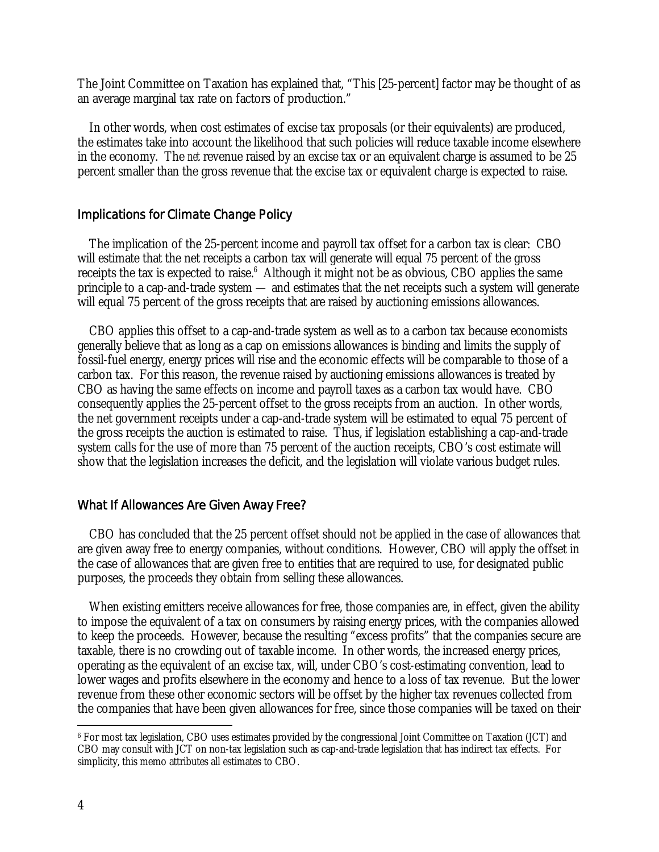The Joint Committee on Taxation has explained that, "This [25-percent] factor may be thought of as an average marginal tax rate on factors of production."

 In other words, when cost estimates of excise tax proposals (or their equivalents) are produced, the estimates take into account the likelihood that such policies will reduce taxable income elsewhere in the economy. The *net* revenue raised by an excise tax or an equivalent charge is assumed to be 25 percent smaller than the gross revenue that the excise tax or equivalent charge is expected to raise.

### Implications for Climate Change Policy

 The implication of the 25-percent income and payroll tax offset for a carbon tax is clear: CBO will estimate that the net receipts a carbon tax will generate will equal 75 percent of the gross receipts the tax is expected to raise.<sup>6</sup> Although it might not be as obvious, CBO applies the same principle to a cap-and-trade system — and estimates that the net receipts such a system will generate will equal 75 percent of the gross receipts that are raised by auctioning emissions allowances.

 CBO applies this offset to a cap-and-trade system as well as to a carbon tax because economists generally believe that as long as a cap on emissions allowances is binding and limits the supply of fossil-fuel energy, energy prices will rise and the economic effects will be comparable to those of a carbon tax. For this reason, the revenue raised by auctioning emissions allowances is treated by CBO as having the same effects on income and payroll taxes as a carbon tax would have. CBO consequently applies the 25-percent offset to the gross receipts from an auction. In other words, the net government receipts under a cap-and-trade system will be estimated to equal 75 percent of the gross receipts the auction is estimated to raise. Thus, if legislation establishing a cap-and-trade system calls for the use of more than 75 percent of the auction receipts, CBO's cost estimate will show that the legislation increases the deficit, and the legislation will violate various budget rules.

## What If Allowances Are Given Away Free?

 CBO has concluded that the 25 percent offset should not be applied in the case of allowances that are given away free to energy companies, without conditions. However, CBO *will* apply the offset in the case of allowances that are given free to entities that are required to use, for designated public purposes, the proceeds they obtain from selling these allowances.

 When existing emitters receive allowances for free, those companies are, in effect, given the ability to impose the equivalent of a tax on consumers by raising energy prices, with the companies allowed to keep the proceeds. However, because the resulting "excess profits" that the companies secure are taxable, there is no crowding out of taxable income. In other words, the increased energy prices, operating as the equivalent of an excise tax, will, under CBO's cost-estimating convention, lead to lower wages and profits elsewhere in the economy and hence to a loss of tax revenue. But the lower revenue from these other economic sectors will be offset by the higher tax revenues collected from the companies that have been given allowances for free, since those companies will be taxed on their

 $\overline{a}$ 6 For most tax legislation, CBO uses estimates provided by the congressional Joint Committee on Taxation (JCT) and CBO may consult with JCT on non-tax legislation such as cap-and-trade legislation that has indirect tax effects. For simplicity, this memo attributes all estimates to CBO.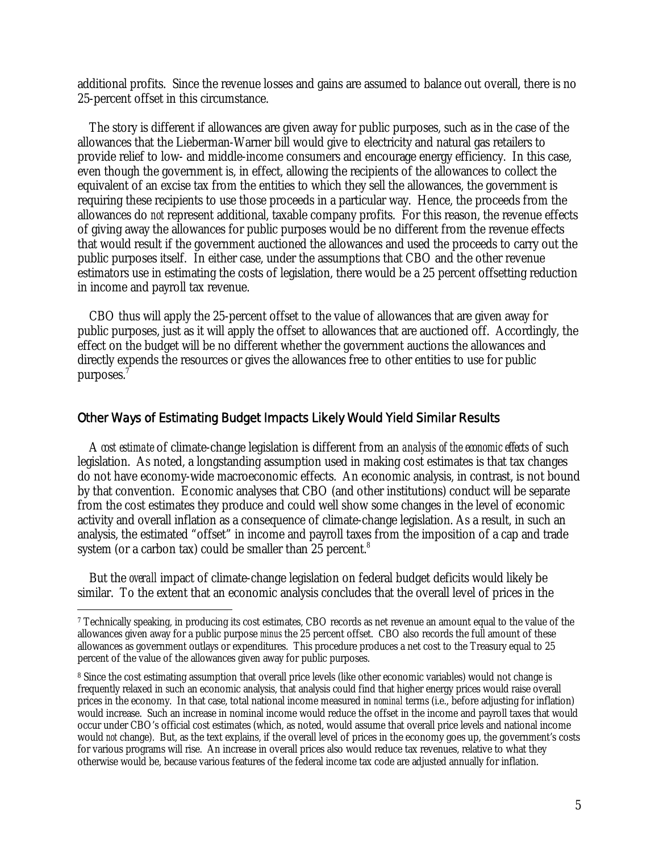additional profits. Since the revenue losses and gains are assumed to balance out overall, there is no 25-percent offset in this circumstance.

 The story is different if allowances are given away for public purposes, such as in the case of the allowances that the Lieberman-Warner bill would give to electricity and natural gas retailers to provide relief to low- and middle-income consumers and encourage energy efficiency. In this case, even though the government is, in effect, allowing the recipients of the allowances to collect the equivalent of an excise tax from the entities to which they sell the allowances, the government is requiring these recipients to use those proceeds in a particular way. Hence, the proceeds from the allowances do *not* represent additional, taxable company profits. For this reason, the revenue effects of giving away the allowances for public purposes would be no different from the revenue effects that would result if the government auctioned the allowances and used the proceeds to carry out the public purposes itself. In either case, under the assumptions that CBO and the other revenue estimators use in estimating the costs of legislation, there would be a 25 percent offsetting reduction in income and payroll tax revenue.

 CBO thus will apply the 25-percent offset to the value of allowances that are given away for public purposes, just as it will apply the offset to allowances that are auctioned off. Accordingly, the effect on the budget will be no different whether the government auctions the allowances and directly expends the resources or gives the allowances free to other entities to use for public purposes.7

#### Other Ways of Estimating Budget Impacts Likely Would Yield Similar Results

 A *cost estimate* of climate-change legislation is different from an *analysis of the economic effects* of such legislation. As noted, a longstanding assumption used in making cost estimates is that tax changes do not have economy-wide macroeconomic effects. An economic analysis, in contrast, is not bound by that convention. Economic analyses that CBO (and other institutions) conduct will be separate from the cost estimates they produce and could well show some changes in the level of economic activity and overall inflation as a consequence of climate-change legislation. As a result, in such an analysis, the estimated "offset" in income and payroll taxes from the imposition of a cap and trade system (or a carbon tax) could be smaller than  $25$  percent.<sup>8</sup>

 But the *overall* impact of climate-change legislation on federal budget deficits would likely be similar. To the extent that an economic analysis concludes that the overall level of prices in the

 $\overline{a}$ 

<sup>7</sup> Technically speaking, in producing its cost estimates, CBO records as net revenue an amount equal to the value of the allowances given away for a public purpose *minus* the 25 percent offset. CBO also records the full amount of these allowances as government outlays or expenditures. This procedure produces a net cost to the Treasury equal to 25 percent of the value of the allowances given away for public purposes.

<sup>8</sup> Since the cost estimating assumption that overall price levels (like other economic variables) would not change is frequently relaxed in such an economic analysis, that analysis could find that higher energy prices would raise overall prices in the economy. In that case, total national income measured in *nominal* terms (i.e., before adjusting for inflation) would increase. Such an increase in nominal income would reduce the offset in the income and payroll taxes that would occur under CBO's official cost estimates (which, as noted, would assume that overall price levels and national income would *not* change). But, as the text explains, if the overall level of prices in the economy goes up, the government's costs for various programs will rise. An increase in overall prices also would reduce tax revenues, relative to what they otherwise would be, because various features of the federal income tax code are adjusted annually for inflation.